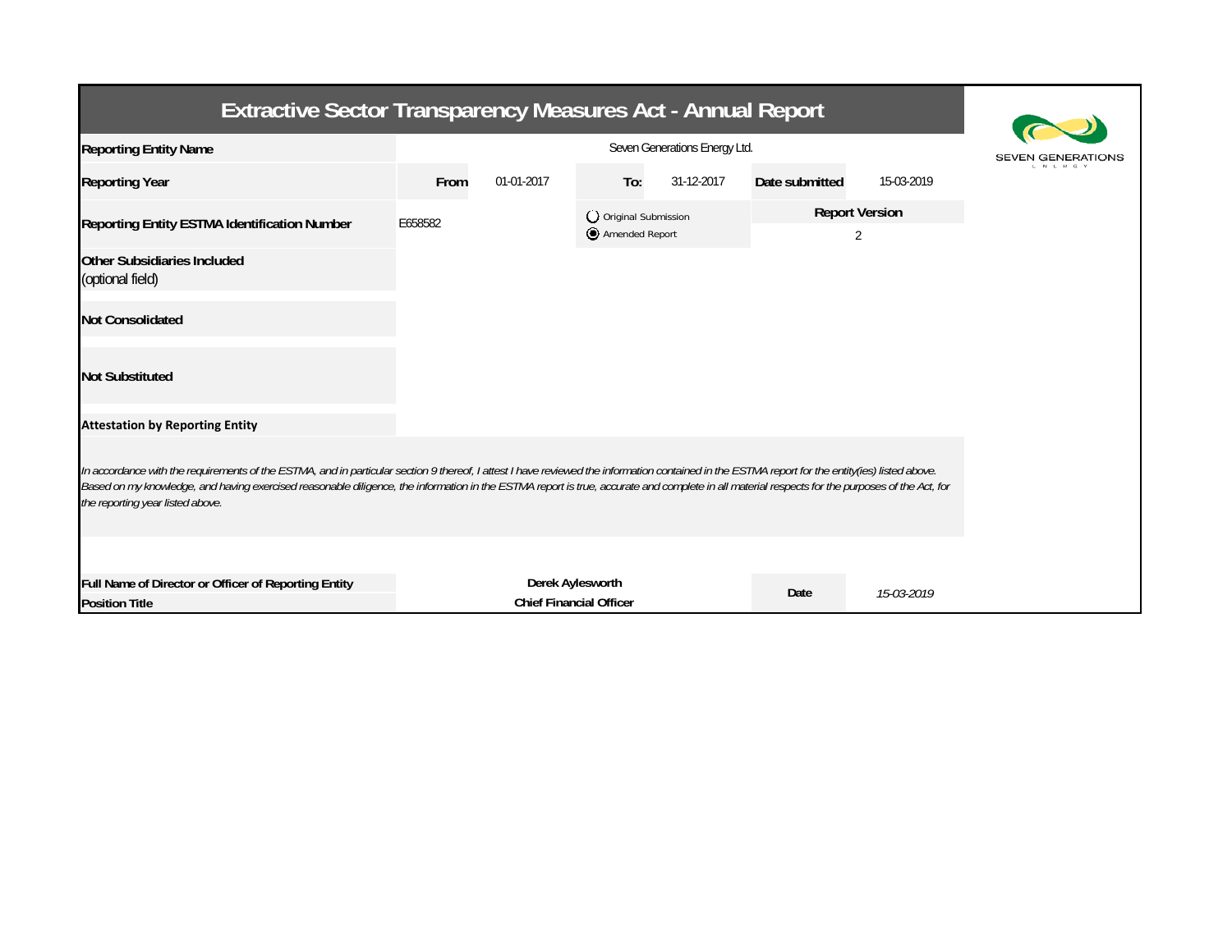| <b>Extractive Sector Transparency Measures Act - Annual Report</b>                                                                                                                                                                                                                                                                                                                                                                    |                               |                                |     |                                         |                |                            |  |  |
|---------------------------------------------------------------------------------------------------------------------------------------------------------------------------------------------------------------------------------------------------------------------------------------------------------------------------------------------------------------------------------------------------------------------------------------|-------------------------------|--------------------------------|-----|-----------------------------------------|----------------|----------------------------|--|--|
| <b>Reporting Entity Name</b>                                                                                                                                                                                                                                                                                                                                                                                                          | Seven Generations Energy Ltd. |                                |     |                                         |                |                            |  |  |
| <b>Reporting Year</b>                                                                                                                                                                                                                                                                                                                                                                                                                 | From                          | 01-01-2017                     | To: | 31-12-2017                              | Date submitted | 15-03-2019                 |  |  |
| Reporting Entity ESTMA Identification Number                                                                                                                                                                                                                                                                                                                                                                                          | E658582                       |                                |     | O Original Submission<br>Amended Report |                | <b>Report Version</b><br>2 |  |  |
| Other Subsidiaries Included<br>(optional field)                                                                                                                                                                                                                                                                                                                                                                                       |                               |                                |     |                                         |                |                            |  |  |
| <b>Not Consolidated</b>                                                                                                                                                                                                                                                                                                                                                                                                               |                               |                                |     |                                         |                |                            |  |  |
| <b>Not Substituted</b>                                                                                                                                                                                                                                                                                                                                                                                                                |                               |                                |     |                                         |                |                            |  |  |
| <b>Attestation by Reporting Entity</b>                                                                                                                                                                                                                                                                                                                                                                                                |                               |                                |     |                                         |                |                            |  |  |
| In accordance with the requirements of the ESTMA, and in particular section 9 thereof, I attest I have reviewed the information contained in the ESTMA report for the entity(ies) listed above.<br>Based on my knowledge, and having exercised reasonable diligence, the information in the ESTMA report is true, accurate and complete in all material respects for the purposes of the Act, for<br>the reporting year listed above. |                               |                                |     |                                         |                |                            |  |  |
| Full Name of Director or Officer of Reporting Entity                                                                                                                                                                                                                                                                                                                                                                                  |                               | Derek Aylesworth               |     |                                         |                |                            |  |  |
| <b>Position Title</b>                                                                                                                                                                                                                                                                                                                                                                                                                 |                               | <b>Chief Financial Officer</b> |     |                                         | Date           | 15-03-2019                 |  |  |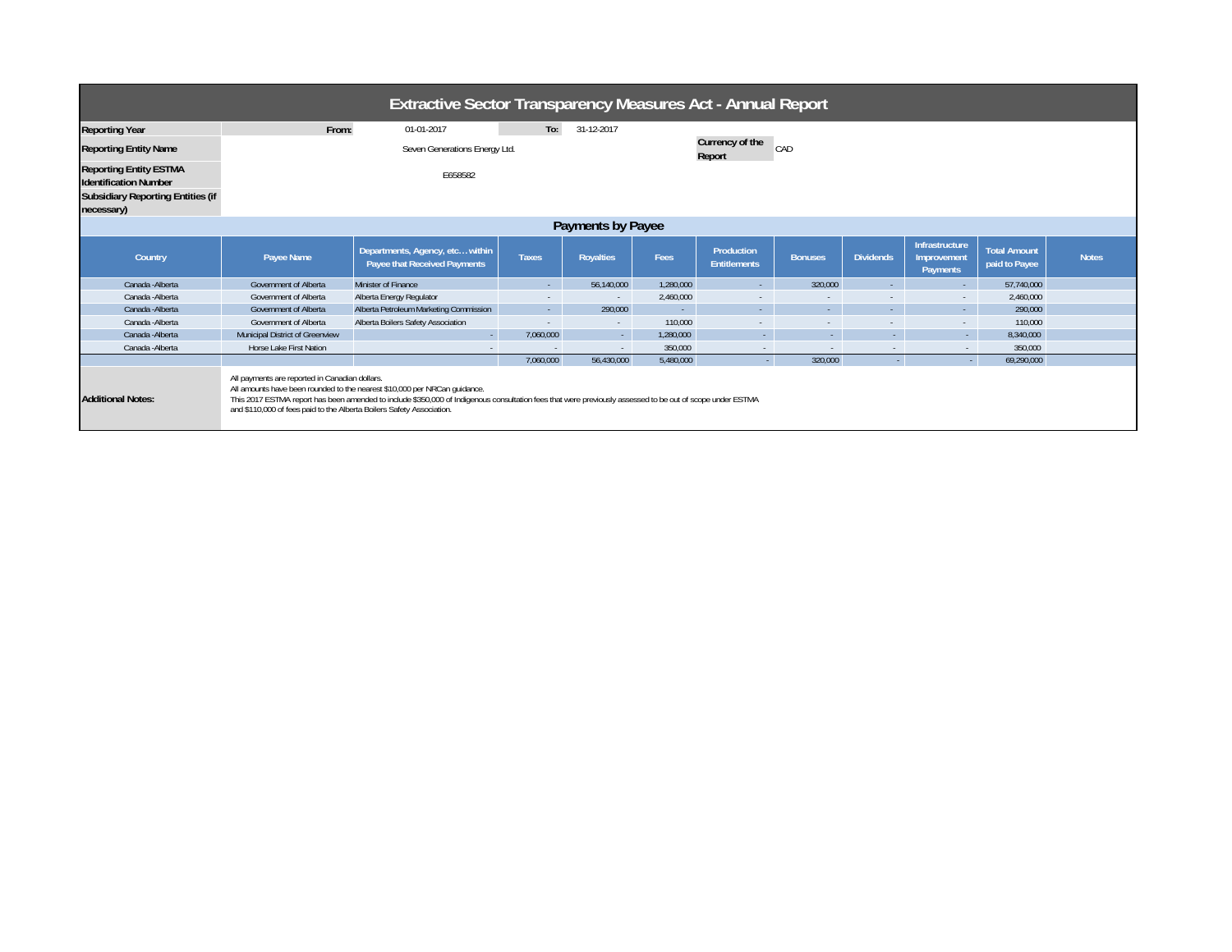| <b>Extractive Sector Transparency Measures Act - Annual Report</b>                                                      |                                                                                                                         |                                                                                                                                                                                                                                        |              |                  |           |                                   |                |                  |                                           |                                      |              |  |
|-------------------------------------------------------------------------------------------------------------------------|-------------------------------------------------------------------------------------------------------------------------|----------------------------------------------------------------------------------------------------------------------------------------------------------------------------------------------------------------------------------------|--------------|------------------|-----------|-----------------------------------|----------------|------------------|-------------------------------------------|--------------------------------------|--------------|--|
| Reporting Year                                                                                                          | From:                                                                                                                   | 01-01-2017                                                                                                                                                                                                                             | To:          | 31-12-2017       |           |                                   |                |                  |                                           |                                      |              |  |
| <b>Reporting Entity Name</b>                                                                                            | Seven Generations Energy Ltd.                                                                                           |                                                                                                                                                                                                                                        |              |                  |           | Currency of the<br>CAD<br>Report  |                |                  |                                           |                                      |              |  |
| <b>Reporting Entity ESTMA</b><br><b>Identification Number</b><br><b>Subsidiary Reporting Entities (if</b><br>necessary) | E658582                                                                                                                 |                                                                                                                                                                                                                                        |              |                  |           |                                   |                |                  |                                           |                                      |              |  |
| Payments by Payee                                                                                                       |                                                                                                                         |                                                                                                                                                                                                                                        |              |                  |           |                                   |                |                  |                                           |                                      |              |  |
| Country                                                                                                                 | Payee Name                                                                                                              | Departments, Agency, etc within<br>Payee that Received Payments                                                                                                                                                                        | <b>Taxes</b> | <b>Royalties</b> | Fees      | Production<br><b>Entitlements</b> | <b>Bonuses</b> | <b>Dividends</b> | Infrastructure<br>Improvement<br>Payments | <b>Total Amount</b><br>paid to Payee | <b>Notes</b> |  |
| Canada - Alberta                                                                                                        | Government of Alberta                                                                                                   | Minister of Finance                                                                                                                                                                                                                    | $\sim$       | 56,140,000       | 1,280,000 | $\sim$                            | 320,000        | .                | н.                                        | 57,740,000                           |              |  |
| Canada - Alberta                                                                                                        | Government of Alberta                                                                                                   | Alberta Energy Regulator                                                                                                                                                                                                               | $\sim$       | $\sim$           | 2,460,000 | $\sim$                            | $\sim$         |                  | $\sim$                                    | 2,460,000                            |              |  |
| Canada - Alberta                                                                                                        | Government of Alberta                                                                                                   | Alberta Petroleum Marketing Commission                                                                                                                                                                                                 | $\sim$       | 290,000          |           | $\sim$                            | ۰.             |                  | $\sim$                                    | 290,000                              |              |  |
| Canada - Alberta                                                                                                        | Government of Alberta                                                                                                   | Alberta Boilers Safety Association                                                                                                                                                                                                     | $\sim$       | $\sim$           | 110,000   | $\sim$                            | $\sim$         |                  | $\sim$                                    | 110,000                              |              |  |
| Canada - Alberta                                                                                                        | Municipal District of Greenview                                                                                         |                                                                                                                                                                                                                                        | 7.060.000    | $\sim$           | 1.280.000 | $\sim$                            | $\sim$         |                  | $\sim$                                    | 8,340,000                            |              |  |
| Canada - Alberta                                                                                                        | Horse Lake First Nation                                                                                                 |                                                                                                                                                                                                                                        |              | $\sim$           | 350,000   |                                   | $\sim$         |                  | $\sim$                                    | 350,000                              |              |  |
|                                                                                                                         |                                                                                                                         |                                                                                                                                                                                                                                        | 7,060,000    | 56,430,000       | 5,480,000 |                                   | 320,000        | $\sim$           |                                           | 69,290,000                           |              |  |
| <b>Additional Notes:</b>                                                                                                | All payments are reported in Canadian dollars.<br>and \$110,000 of fees paid to the Alberta Boilers Safety Association. | All amounts have been rounded to the nearest \$10,000 per NRCan guidance.<br>This 2017 ESTMA report has been amended to include \$350,000 of Indigenous consultation fees that were previously assessed to be out of scope under ESTMA |              |                  |           |                                   |                |                  |                                           |                                      |              |  |